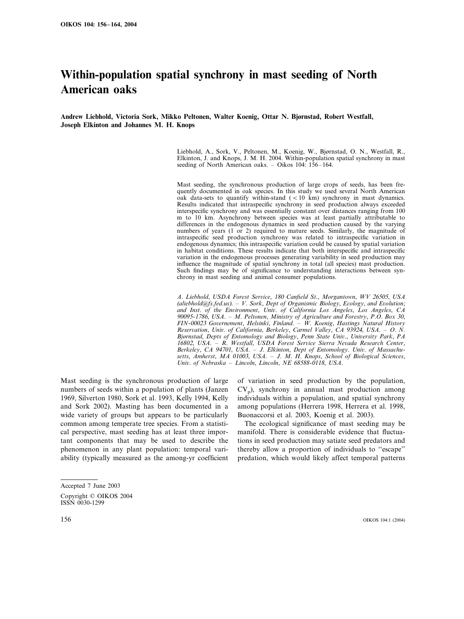# **Within-population spatial synchrony in mast seeding of North American oaks**

**Andrew Liebhold, Victoria Sork, Mikko Peltonen, Walter Koenig, Ottar N. Bjørnstad, Robert Westfall, Joseph Elkinton and Johannes M. H. Knops**

> Liebhold, A., Sork, V., Peltonen, M., Koenig, W., Bjørnstad, O. N., Westfall, R., Elkinton, J. and Knops, J. M. H. 2004. Within-population spatial synchrony in mast seeding of North American oaks. – Oikos  $104: 156-164$ .

> Mast seeding, the synchronous production of large crops of seeds, has been frequently documented in oak species. In this study we used several North American oak data-sets to quantify within-stand  $(< 10 \text{ km})$  synchrony in mast dynamics. Results indicated that intraspecific synchrony in seed production always exceeded interspecific synchrony and was essentially constant over distances ranging from 100 m to 10 km. Asynchrony between species was at least partially attributable to differences in the endogenous dynamics in seed production caused by the varying numbers of years (1 or 2) required to mature seeds. Similarly, the magnitude of intraspecific seed production synchrony was related to intraspecific variation in endogenous dynamics; this intraspecific variation could be caused by spatial variation in habitat conditions. These results indicate that both interspecific and intraspecific variation in the endogenous processes generating variability in seed production may influence the magnitude of spatial synchrony in total (all species) mast production. Such findings may be of significance to understanding interactions between synchrony in mast seeding and animal consumer populations.

> *A*. *Liebhold*, *USDA Forest Ser*!*ice*, <sup>180</sup> *Canfield St*., *Morgantown*, *WV* <sup>26505</sup>, *USA* (*aliebhold@fs.fed.us*). – *V. Sork, Dept of Organismic Biology, Ecology, and Evolution; and Inst*. *of the En*!*ironment*, *Uni*!. *of California Los Angeles*, *Los Angeles*, *CA* 90095-1786, *USA*. – *M*. *Peltonen*, *Ministry of Agriculture and Forestry*, *P*.*O*. *Box* 30, *FIN*-<sup>00023</sup> *Go*!*ernement*, *Helsinki*, *Finland*. – *W*. *Koenig*, *Hastings Natural History Reser*!*ation*, *Uni*!. *of California*, *Berkeley*, *Carmel Valley*, *CA* <sup>93924</sup>, *USA*. – *O*. *N*. *Bjørnstad, Depts of Entomology and Biology, Penn State Univ., University Park, PA* <sup>16802</sup>, *USA*. – *R*. *Westfall*, *USDA Forest Ser*!*ice Sierra Ne*!*ada Research Center*, *Berkeley*, *CA* <sup>94701</sup>, *USA*. – *J*. *Elkinton*, *Dept of Entomology*. *Uni*!. *of Massachusetts*, *Amherst*, *MA* 01003, *USA*. – *J*. *M*. *H*. *Knops*, *School of Biological Sciences*, *Uni*!. *of Nebraska* – *Lincoln*, *Lincoln*, *NE* <sup>68588</sup>-0118, *USA*.

Mast seeding is the synchronous production of large numbers of seeds within a population of plants (Janzen 1969, Silverton 1980, Sork et al. 1993, Kelly 1994, Kelly and Sork 2002). Masting has been documented in a wide variety of groups but appears to be particularly common among temperate tree species. From a statistical perspective, mast seeding has at least three important components that may be used to describe the phenomenon in any plant population: temporal variability (typically measured as the among-yr coefficient of variation in seed production by the population,  $CV<sub>p</sub>$ ), synchrony in annual mast production among individuals within a population, and spatial synchrony among populations (Herrera 1998, Herrera et al. 1998, Buonaccorsi et al. 2003, Koenig et al. 2003).

The ecological significance of mast seeding may be manifold. There is considerable evidence that fluctuations in seed production may satiate seed predators and thereby allow a proportion of individuals to ''escape'' predation, which would likely affect temporal patterns

Accepted 7 June 2003 Copyright © OIKOS 2004 ISSN 0030-1299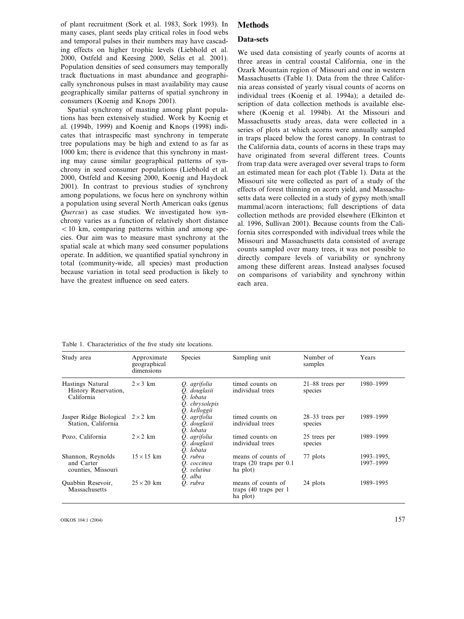of plant recruitment (Sork et al. 1983, Sork 1993). In many cases, plant seeds play critical roles in food webs and temporal pulses in their numbers may have cascading effects on higher trophic levels (Liebhold et al. 2000, Ostfeld and Keesing 2000, Selås et al. 2001). Population densities of seed consumers may temporally track fluctuations in mast abundance and geographically synchronous pulses in mast availability may cause geographically similar patterns of spatial synchrony in consumers (Koenig and Knops 2001).

Spatial synchrony of masting among plant populations has been extensively studied. Work by Koenig et al. (1994b, 1999) and Koenig and Knops (1998) indicates that intraspecific mast synchrony in temperate tree populations may be high and extend to as far as 1000 km; there is evidence that this synchrony in masting may cause similar geographical patterns of synchrony in seed consumer populations (Liebhold et al. 2000, Ostfeld and Keesing 2000, Koenig and Haydock 2001). In contrast to previous studies of synchrony among populations, we focus here on synchrony within a population using several North American oaks (genus *Quercus*) as case studies. We investigated how synchrony varies as a function of relatively short distance  $10$  km, comparing patterns within and among species. Our aim was to measure mast synchrony at the spatial scale at which many seed consumer populations operate. In addition, we quantified spatial synchrony in total (community-wide, all species) mast production because variation in total seed production is likely to have the greatest influence on seed eaters.

# **Methods**

### **Data-sets**

We used data consisting of yearly counts of acorns at three areas in central coastal California, one in the Ozark Mountain region of Missouri and one in western Massachusetts (Table 1). Data from the three California areas consisted of yearly visual counts of acorns on individual trees (Koenig et al. 1994a); a detailed description of data collection methods is available elsewhere (Koenig et al. 1994b). At the Missouri and Massachusetts study areas, data were collected in a series of plots at which acorns were annually sampled in traps placed below the forest canopy. In contrast to the California data, counts of acorns in these traps may have originated from several different trees. Counts from trap data were averaged over several traps to form an estimated mean for each plot (Table 1). Data at the Missouri site were collected as part of a study of the effects of forest thinning on acorn yield, and Massachusetts data were collected in a study of gypsy moth/small mammal/acorn interactions; full descriptions of data collection methods are provided elsewhere (Elkinton et al. 1996, Sullivan 2001). Because counts from the California sites corresponded with individual trees while the Missouri and Massachusetts data consisted of average counts sampled over many trees, it was not possible to directly compare levels of variability or synchrony among these different areas. Instead analyses focused on comparisons of variability and synchrony within each area.

| Study area                                             | Approximate<br>geographical<br>dimensions | <b>Species</b>                                                                 | Sampling unit                                                 | Number of<br>samples         | Years                   |
|--------------------------------------------------------|-------------------------------------------|--------------------------------------------------------------------------------|---------------------------------------------------------------|------------------------------|-------------------------|
| Hastings Natural<br>History Reservation,<br>California | $2 \times 3$ km                           | Q. agrifolia<br>O. douglasii<br>O. lobata<br>chrysolepis<br>Q.<br>O. kelloggii | timed counts on<br>individual trees                           | $21-88$ trees per<br>species | 1980-1999               |
| Jasper Ridge Biological<br>Station, California         | $2 \times 2$ km                           | O. agrifolia<br>O. douglasii<br>O. lobata                                      | timed counts on<br>individual trees                           | $28-33$ trees per<br>species | 1989-1999               |
| Pozo, California                                       | $2 \times 2$ km                           | Q. agrifolia<br>O. douglasii<br>O. lobata                                      | timed counts on<br>individual trees                           | 25 trees per<br>species      | 1989-1999               |
| Shannon, Reynolds<br>and Carter<br>counties, Missouri  | $15 \times 15$ km                         | Q. rubra<br>O. coccinea<br>Q. velutina<br>O. alba                              | means of counts of<br>traps $(20$ traps per $0.1$<br>ha plot) | 77 plots                     | 1993-1995,<br>1997-1999 |
| Quabbin Resevoir,<br>Massachusetts                     | $25 \times 20$ km                         | O. rubra                                                                       | means of counts of<br>traps (40 traps per 1<br>ha plot)       | 24 plots                     | 1989-1995               |

Table 1. Characteristics of the five study site locations.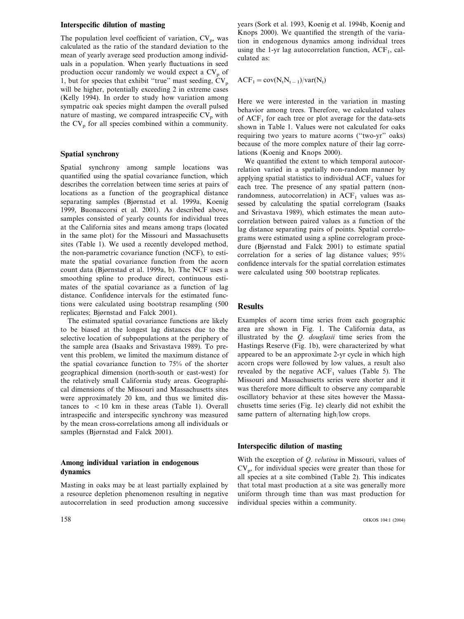# **Interspecific dilution of masting**

The population level coefficient of variation,  $CV_p$ , was calculated as the ratio of the standard deviation to the mean of yearly average seed production among individuals in a population. When yearly fluctuations in seed production occur randomly we would expect a CV<sub>p</sub> of 1, but for species that exhibit "true" mast seeding,  $CV_p$ will be higher, potentially exceeding 2 in extreme cases (Kelly 1994). In order to study how variation among sympatric oak species might dampen the overall pulsed nature of masting, we compared intraspecific  $CV_p$  with the  $CV_p$  for all species combined within a community.

### **Spatial synchrony**

Spatial synchrony among sample locations was quantified using the spatial covariance function, which describes the correlation between time series at pairs of locations as a function of the geographical distance separating samples (Bjørnstad et al. 1999a, Koenig 1999, Buonaccorsi et al. 2001). As described above, samples consisted of yearly counts for individual trees at the California sites and means among traps (located in the same plot) for the Missouri and Massachusetts sites (Table 1). We used a recently developed method, the non-parametric covariance function (NCF), to estimate the spatial covariance function from the acorn count data (Bjørnstad et al. 1999a, b). The NCF uses a smoothing spline to produce direct, continuous estimates of the spatial covariance as a function of lag distance. Confidence intervals for the estimated functions were calculated using bootstrap resampling (500 replicates; Bjørnstad and Falck 2001).

The estimated spatial covariance functions are likely to be biased at the longest lag distances due to the selective location of subpopulations at the periphery of the sample area (Isaaks and Srivastava 1989). To prevent this problem, we limited the maximum distance of the spatial covariance function to 75% of the shorter geographical dimension (north-south or east-west) for the relatively small California study areas. Geographical dimensions of the Missouri and Massachusetts sites were approximately 20 km, and thus we limited distances to  $\langle 10 \text{ km} \rangle$  in these areas (Table 1). Overall intraspecific and interspecific synchrony was measured by the mean cross-correlations among all individuals or samples (Bjørnstad and Falck 2001).

# **Among individual variation in endogenous dynamics**

Masting in oaks may be at least partially explained by a resource depletion phenomenon resulting in negative autocorrelation in seed production among successive

years (Sork et al. 1993, Koenig et al. 1994b, Koenig and Knops 2000). We quantified the strength of the variation in endogenous dynamics among individual trees using the 1-yr lag autocorrelation function,  $ACF<sub>1</sub>$ , calculated as:

 $ACF_1 = cov(N_t N_{t-1})/var(N_t)$ 

Here we were interested in the variation in masting behavior among trees. Therefore, we calculated values of  $ACF<sub>1</sub>$  for each tree or plot average for the data-sets shown in Table 1. Values were not calculated for oaks requiring two years to mature acorns (''two-yr'' oaks) because of the more complex nature of their lag correlations (Koenig and Knops 2000).

We quantified the extent to which temporal autocorrelation varied in a spatially non-random manner by applying spatial statistics to individual  $ACF<sub>1</sub>$  values for each tree. The presence of any spatial pattern (nonrandomness, autocorrelation) in  $ACF<sub>1</sub>$  values was assessed by calculating the spatial correlogram (Isaaks and Srivastava 1989), which estimates the mean autocorrelation between paired values as a function of the lag distance separating pairs of points. Spatial correlograms were estimated using a spline correlogram procedure (Bjørnstad and Falck 2001) to estimate spatial correlation for a series of lag distance values; 95% confidence intervals for the spatial correlation estimates were calculated using 500 bootstrap replicates.

# **Results**

Examples of acorn time series from each geographic area are shown in Fig. 1. The California data, as illustrated by the *Q*. *douglasii* time series from the Hastings Reserve (Fig. 1b), were characterized by what appeared to be an approximate 2-yr cycle in which high acorn crops were followed by low values, a result also revealed by the negative  $ACF<sub>1</sub>$  values (Table 5). The Missouri and Massachusetts series were shorter and it was therefore more difficult to observe any comparable oscillatory behavior at these sites however the Massachusetts time series (Fig. 1e) clearly did not exhibit the same pattern of alternating high/low crops.

#### **Interspecific dilution of masting**

With the exception of *Q. velutina* in Missouri, values of  $CV<sub>p</sub>$ , for individual species were greater than those for all species at a site combined (Table 2). This indicates that total mast production at a site was generally more uniform through time than was mast production for individual species within a community.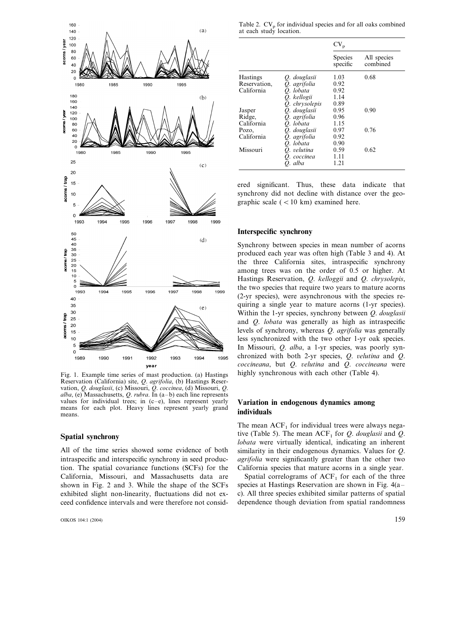

Fig. 1. Example time series of mast production. (a) Hastings Reservation (California) site, *Q*. *agrifolia*, (b) Hastings Reservation, *Q*. *douglasii*, (c) Missouri, *Q*. *coccinea*, (d) Missouri, *Q*. *alba*, (e) Massachusetts, *Q*. *rubra*. In (a–b) each line represents values for individual trees; in  $(c-e)$ , lines represent yearly means for each plot. Heavy lines represent yearly grand means.

#### **Spatial synchrony**

All of the time series showed some evidence of both intraspecific and interspecific synchrony in seed production. The spatial covariance functions (SCFs) for the California, Missouri, and Massachusetts data are shown in Fig. 2 and 3. While the shape of the SCFs exhibited slight non-linearity, fluctuations did not exceed confidence intervals and were therefore not consid-

Table 2.  $CV_p$  for individual species and for all oaks combined at each study location.

|                 |                | $CV_p$                     |                         |
|-----------------|----------------|----------------------------|-------------------------|
|                 |                | <b>Species</b><br>specific | All species<br>combined |
| <b>Hastings</b> | O. douglasii   | 1.03                       | 0.68                    |
| Reservation,    | O. agrifolia   | 0.92                       |                         |
| California      | O. lobata      | 0.92                       |                         |
|                 | O. kellogii    | 1.14                       |                         |
|                 | O. chrysolepis | 0.89                       |                         |
| Jasper          | Q. douglasii   | 0.95                       | 0.90                    |
| Ridge,          | Q. agrifolia   | 0.96                       |                         |
| California      | O. lobata      | 1.15                       |                         |
| Pozo,           | O. douglasii   | 0.97                       | 0.76                    |
| California      | O. agrifolia   | 0.92                       |                         |
|                 | O. lobata      | 0.90                       |                         |
| Missouri        | O. velutina    | 0.59                       | 0.62                    |
|                 | O. coccinea    | 1.11                       |                         |
|                 | O. alba        | 1.21                       |                         |

ered significant. Thus, these data indicate that synchrony did not decline with distance over the geographic scale  $(< 10 \text{ km})$  examined here.

#### **Interspecific synchrony**

Synchrony between species in mean number of acorns produced each year was often high (Table 3 and 4). At the three California sites, intraspecific synchrony among trees was on the order of 0.5 or higher. At Hastings Reservation, *Q*. *kelloggii* and *Q*. *chrysolepis*, the two species that require two years to mature acorns (2-yr species), were asynchronous with the species requiring a single year to mature acorns (1-yr species). Within the 1-yr species, synchrony between *Q*. *douglasii* and *Q*. *lobata* was generally as high as intraspecific levels of synchrony, whereas *Q*. *agrifolia* was generally less synchronized with the two other 1-yr oak species. In Missouri, *Q*. *alba*, a 1-yr species, was poorly synchronized with both 2-yr species, *Q*. !*elutina* and *Q*. *coccineana*, but *Q*. !*elutina* and *Q*. *coccineana* were highly synchronous with each other (Table 4).

# **Variation in endogenous dynamics among individuals**

The mean  $ACF<sub>1</sub>$  for individual trees were always negative (Table 5). The mean  $ACF_1$  for *Q. douglasii* and *Q. lobata* were virtually identical, indicating an inherent similarity in their endogenous dynamics. Values for *Q*. *agrifolia* were significantly greater than the other two California species that mature acorns in a single year.

Spatial correlograms of  $ACF<sub>1</sub>$  for each of the three species at Hastings Reservation are shown in Fig. 4(a– c). All three species exhibited similar patterns of spatial dependence though deviation from spatial randomness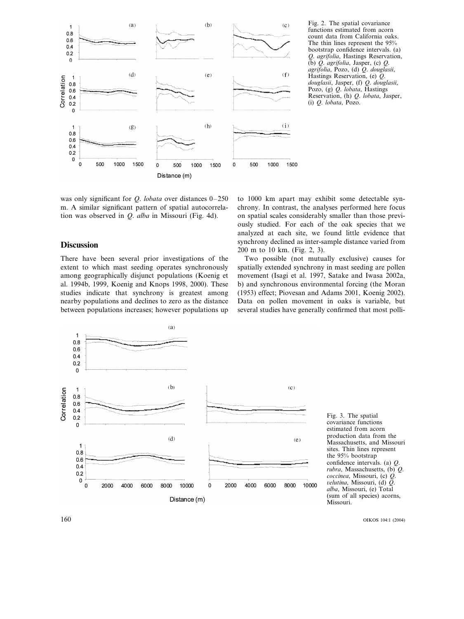

Fig. 2. The spatial covariance functions estimated from acorn count data from California oaks. The thin lines represent the 95% bootstrap confidence intervals. (a) *Q*. *agrifolia*, Hastings Reservation, (b) *Q*. *agrifolia*, Jasper, (c) *Q*. *agrifolia*, Pozo, (d) *Q*. *douglasii*, Hastings Reservation, (e) *Q*. *douglasii*, Jasper, (f) *Q*. *douglasii*, Pozo, (g) *Q*. *lobata*, Hastings Reservation, (h) *Q*. *lobata*, Jasper, (i) *Q*. *lobata*, Pozo.

was only significant for *Q*. *lobata* over distances 0–250 m. A similar significant pattern of spatial autocorrelation was observed in *Q*. *alba* in Missouri (Fig. 4d).

# **Discussion**

There have been several prior investigations of the extent to which mast seeding operates synchronously among geographically disjunct populations (Koenig et al. 1994b, 1999, Koenig and Knops 1998, 2000). These studies indicate that synchrony is greatest among nearby populations and declines to zero as the distance between populations increases; however populations up to 1000 km apart may exhibit some detectable synchrony. In contrast, the analyses performed here focus on spatial scales considerably smaller than those previously studied. For each of the oak species that we analyzed at each site, we found little evidence that synchrony declined as inter-sample distance varied from 200 m to 10 km. (Fig. 2, 3).

Two possible (not mutually exclusive) causes for spatially extended synchrony in mast seeding are pollen movement (Isagi et al. 1997, Satake and Iwasa 2002a, b) and synchronous environmental forcing (the Moran (1953) effect; Piovesan and Adams 2001, Koenig 2002). Data on pollen movement in oaks is variable, but several studies have generally confirmed that most polli-



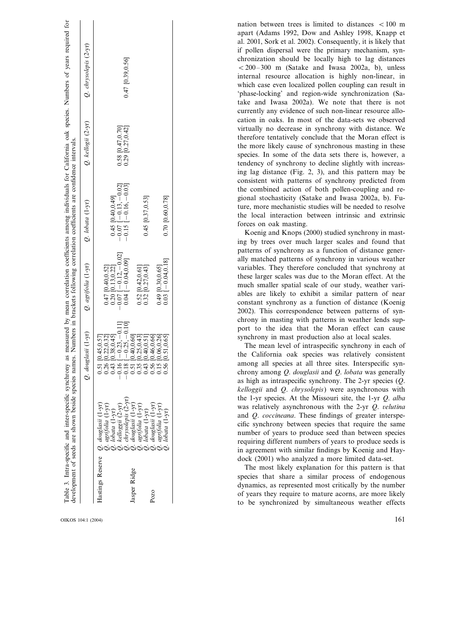|                                                                                                                                                                                                                                   |               |                                                                                                                                                                                                                                                                                                               |                                            |                                              | nation between trees is limited to distances $\langle 100 \text{ m} \rangle$<br>apart (Adams 1992, Dow and Ashley 1998, Knapp et |
|-----------------------------------------------------------------------------------------------------------------------------------------------------------------------------------------------------------------------------------|---------------|---------------------------------------------------------------------------------------------------------------------------------------------------------------------------------------------------------------------------------------------------------------------------------------------------------------|--------------------------------------------|----------------------------------------------|----------------------------------------------------------------------------------------------------------------------------------|
| Table 3. Intra-specific and inter-specific synchrony as measured by mean correlation coefficients among individuals for California oak species. Numbers of years required for<br>development of seeds are shown beside species na |               |                                                                                                                                                                                                                                                                                                               |                                            |                                              | al. 2001, Sork et al. 2002). Consequently, it is likely that                                                                     |
|                                                                                                                                                                                                                                   | $(2-yr)$      |                                                                                                                                                                                                                                                                                                               |                                            |                                              | if pollen dispersal were the primary mechanism, syn-<br>chronization should be locally high to lag distances                     |
|                                                                                                                                                                                                                                   | chrysolepis   | 0.47 [0.39,0.56]                                                                                                                                                                                                                                                                                              |                                            |                                              | $< 200-300$ m (Satake and Iwasa 2002a, b), unless                                                                                |
|                                                                                                                                                                                                                                   |               |                                                                                                                                                                                                                                                                                                               |                                            |                                              | internal resource allocation is highly non-linear, in                                                                            |
|                                                                                                                                                                                                                                   |               |                                                                                                                                                                                                                                                                                                               |                                            |                                              | which case even localized pollen coupling can result in                                                                          |
|                                                                                                                                                                                                                                   | Ò             |                                                                                                                                                                                                                                                                                                               |                                            |                                              | 'phase-locking' and region-wide synchronization (Sa-                                                                             |
|                                                                                                                                                                                                                                   |               |                                                                                                                                                                                                                                                                                                               |                                            |                                              | take and Iwasa 2002a). We note that there is not                                                                                 |
|                                                                                                                                                                                                                                   |               |                                                                                                                                                                                                                                                                                                               |                                            |                                              | currently any evidence of such non-linear resource allo-                                                                         |
|                                                                                                                                                                                                                                   |               |                                                                                                                                                                                                                                                                                                               |                                            |                                              | cation in oaks. In most of the data-sets we observed                                                                             |
|                                                                                                                                                                                                                                   | $(2-yr)$      | $[0.47, 0.70]$<br>$[0.27, 0.42]$                                                                                                                                                                                                                                                                              |                                            |                                              | virtually no decrease in synchrony with distance. We                                                                             |
|                                                                                                                                                                                                                                   |               |                                                                                                                                                                                                                                                                                                               |                                            |                                              | therefore tentatively conclude that the Moran effect is                                                                          |
|                                                                                                                                                                                                                                   | kellogii      |                                                                                                                                                                                                                                                                                                               |                                            |                                              | the more likely cause of synchronous masting in these                                                                            |
|                                                                                                                                                                                                                                   | Ö             | $\frac{62}{650}$                                                                                                                                                                                                                                                                                              |                                            |                                              | species. In some of the data sets there is, however, a                                                                           |
|                                                                                                                                                                                                                                   |               |                                                                                                                                                                                                                                                                                                               |                                            |                                              | tendency of synchrony to decline slightly with increas-                                                                          |
|                                                                                                                                                                                                                                   |               |                                                                                                                                                                                                                                                                                                               |                                            |                                              | ing lag distance (Fig. 2, 3), and this pattern may be<br>consistent with patterns of synchrony predicted from                    |
|                                                                                                                                                                                                                                   |               | 0.02                                                                                                                                                                                                                                                                                                          |                                            |                                              | the combined action of both pollen-coupling and re-                                                                              |
|                                                                                                                                                                                                                                   |               | $-0.03$                                                                                                                                                                                                                                                                                                       |                                            |                                              | gional stochasticity (Satake and Iwasa 2002a, b). Fu-                                                                            |
|                                                                                                                                                                                                                                   | $(1-yr)$      |                                                                                                                                                                                                                                                                                                               |                                            |                                              | ture, more mechanistic studies will be needed to resolve                                                                         |
|                                                                                                                                                                                                                                   |               | 0.40,0.49<br>$-0.16$ .                                                                                                                                                                                                                                                                                        | 0.45 [0.37,0.53]                           | 0.70 [0.60,0.78]                             | the local interaction between intrinsic and extrinsic                                                                            |
|                                                                                                                                                                                                                                   | lobata        |                                                                                                                                                                                                                                                                                                               |                                            |                                              | forces on oak masting.                                                                                                           |
|                                                                                                                                                                                                                                   |               | 0.15<br>$0.07$<br>0.07                                                                                                                                                                                                                                                                                        |                                            |                                              | Koenig and Knops (2000) studied synchrony in mast-                                                                               |
|                                                                                                                                                                                                                                   | Ò             |                                                                                                                                                                                                                                                                                                               |                                            |                                              | ing by trees over much larger scales and found that                                                                              |
|                                                                                                                                                                                                                                   |               |                                                                                                                                                                                                                                                                                                               |                                            |                                              | patterns of synchrony as a function of distance gener-                                                                           |
|                                                                                                                                                                                                                                   |               |                                                                                                                                                                                                                                                                                                               |                                            |                                              | ally matched patterns of synchrony in various weather                                                                            |
|                                                                                                                                                                                                                                   | $(1-yr)$      | $\frac{1}{1}$ - 0.12, - 0.0<br>$\frac{1}{1}$ - 0.04,0.09]<br>[0.40,0.52]<br>[0.13,0.22]                                                                                                                                                                                                                       | $[0.42, 0.61]$<br>$[0.27, 0.43]$           | $-0.04, 0.18$<br>[0.30, 0.65]                | variables. They therefore concluded that synchrony at<br>these larger scales was due to the Moran effect. At the                 |
|                                                                                                                                                                                                                                   |               |                                                                                                                                                                                                                                                                                                               |                                            |                                              | much smaller spatial scale of our study, weather vari-                                                                           |
|                                                                                                                                                                                                                                   | agrifolia     |                                                                                                                                                                                                                                                                                                               |                                            |                                              | ables are likely to exhibit a similar pattern of near                                                                            |
|                                                                                                                                                                                                                                   |               | 0.20<br>0.04<br>0.07                                                                                                                                                                                                                                                                                          | 0.52                                       | $0.49$<br>0.03                               | constant synchrony as a function of distance (Koenig                                                                             |
|                                                                                                                                                                                                                                   | Ö             |                                                                                                                                                                                                                                                                                                               |                                            |                                              | 2002). This correspondence between patterns of syn-                                                                              |
|                                                                                                                                                                                                                                   |               |                                                                                                                                                                                                                                                                                                               |                                            |                                              | chrony in masting with patterns in weather lends sup-                                                                            |
|                                                                                                                                                                                                                                   |               |                                                                                                                                                                                                                                                                                                               |                                            |                                              | port to the idea that the Moran effect can cause                                                                                 |
|                                                                                                                                                                                                                                   | $(1-yr)$      |                                                                                                                                                                                                                                                                                                               |                                            |                                              | synchrony in mast production also at local scales.                                                                               |
|                                                                                                                                                                                                                                   |               | 0.38, 0.45<br>45.0.57<br>$\frac{-0.23}{-0.25}$                                                                                                                                                                                                                                                                | 0.25, 0.43<br>0.40.0.60<br>0.40.0.5        | 0.46,0.66                                    | The mean level of intraspecific synchrony in each of                                                                             |
|                                                                                                                                                                                                                                   | douglasii     | ௨<br>$\circ$                                                                                                                                                                                                                                                                                                  |                                            |                                              | the California oak species was relatively consistent<br>among all species at all three sites. Interspecific syn-                 |
|                                                                                                                                                                                                                                   |               | $\begin{array}{c} 0.51 \\ 0.26 \\ 0.41 \\ 0.51 \\ 0.51 \\ 0.51 \\ 0.51 \\ 0.51 \\ 0.51 \\ 0.56 \\ 0.56 \\ 0.56 \\ 0.56 \\ 0.56 \\ 0.56 \\ 0.56 \\ 0.56 \\ 0.56 \\ 0.56 \\ 0.56 \\ 0.56 \\ 0.56 \\ 0.56 \\ 0.56 \\ 0.56 \\ 0.56 \\ 0.56 \\ 0.56 \\ 0.56 \\ 0.56 \\ 0.56 \\ 0.56 \\ 0.56 \\ 0.56 \\ 0.56 \\ 0.$ |                                            |                                              | chrony among Q. douglasii and Q. lobata was generally                                                                            |
|                                                                                                                                                                                                                                   | $\mathcal{O}$ |                                                                                                                                                                                                                                                                                                               |                                            |                                              | as high as intraspecific synchrony. The 2-yr species $(Q,$                                                                       |
|                                                                                                                                                                                                                                   |               |                                                                                                                                                                                                                                                                                                               |                                            |                                              | kelloggii and Q. chrysolepis) were asynchronous with                                                                             |
|                                                                                                                                                                                                                                   |               |                                                                                                                                                                                                                                                                                                               |                                            |                                              | the 1-yr species. At the Missouri site, the 1-yr Q. alba                                                                         |
|                                                                                                                                                                                                                                   |               | $(1 - yr)$                                                                                                                                                                                                                                                                                                    |                                            |                                              | was relatively asynchronous with the 2-yr Q. velutina                                                                            |
|                                                                                                                                                                                                                                   |               |                                                                                                                                                                                                                                                                                                               |                                            |                                              | and Q. coccineana. These findings of greater interspe-                                                                           |
|                                                                                                                                                                                                                                   |               | kelloggii (2-yr)<br>lobata (1-yr)<br>chrysolepis<br>douglasii<br>agrifolia                                                                                                                                                                                                                                    | agrifolia (1-<br>lobata (1-yr<br>douglasii | agrifolia (1-y<br>lobata (1-yr)<br>douglasii | cific synchrony between species that require the same                                                                            |
|                                                                                                                                                                                                                                   |               |                                                                                                                                                                                                                                                                                                               |                                            |                                              | number of years to produce seed than between species                                                                             |
|                                                                                                                                                                                                                                   |               | 000000000000                                                                                                                                                                                                                                                                                                  |                                            |                                              | requiring different numbers of years to produce seeds is                                                                         |
|                                                                                                                                                                                                                                   |               |                                                                                                                                                                                                                                                                                                               |                                            |                                              | in agreement with similar findings by Koenig and Hay-                                                                            |
|                                                                                                                                                                                                                                   |               |                                                                                                                                                                                                                                                                                                               |                                            |                                              | dock (2001) who analyzed a more limited data-set.<br>The most likely explanation for this pattern is that                        |
|                                                                                                                                                                                                                                   |               |                                                                                                                                                                                                                                                                                                               |                                            |                                              | species that share a similar process of endogenous                                                                               |
|                                                                                                                                                                                                                                   |               |                                                                                                                                                                                                                                                                                                               |                                            |                                              | dynamics, as represented most critically by the number                                                                           |
|                                                                                                                                                                                                                                   |               | Hastings Reserve                                                                                                                                                                                                                                                                                              | Jasper Ridge                               | Pozo                                         | of years they require to mature acorns, are more likely                                                                          |
|                                                                                                                                                                                                                                   |               |                                                                                                                                                                                                                                                                                                               |                                            |                                              | to be synchronized by simultaneous weather effects                                                                               |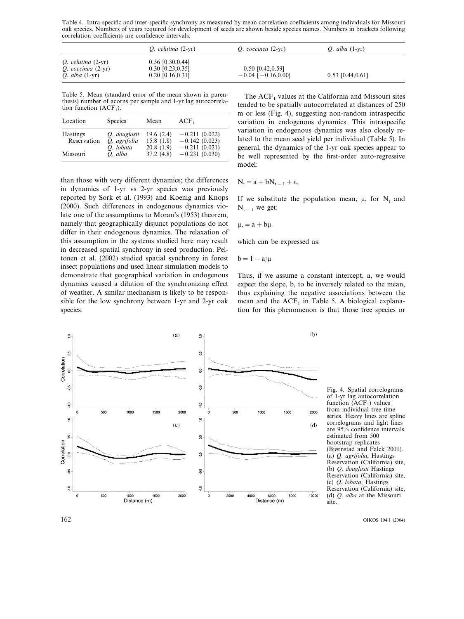Table 4. Intra-specific and inter-specific synchrony as measured by mean correlation coefficients among individuals for Missouri oak species. Numbers of years required for development of seeds are shown beside species names. Numbers in brackets following correlation coefficients are confidence intervals.

|                                                                             | $Q.$ velutina $(2-yr)$                                          | $Q.$ coccinea $(2-yr)$                          | <i>O.</i> alba $(1-yr)$ |  |
|-----------------------------------------------------------------------------|-----------------------------------------------------------------|-------------------------------------------------|-------------------------|--|
| $Q.$ velutina $(2-yr)$<br>$Q.$ coccinea $(2-yr)$<br><i>O.</i> alba $(1-yr)$ | $0.36$ [0.30,0.44]<br>$0.30$ [0.23, 0.35]<br>$0.20$ [0.16,0.31] | $0.50$ [0.42,0.59]<br>$-0.04$ [ $-0.16, 0.00$ ] | $0.53$ [0.44,0.61]      |  |

Table 5. Mean (standard error of the mean shown in parenthesis) number of acorns per sample and 1-yr lag autocorrelation function  $(ACF<sub>1</sub>)$ .

| Location                       | <b>Species</b>                            | Mean                                | $ACF_1$                                               |
|--------------------------------|-------------------------------------------|-------------------------------------|-------------------------------------------------------|
| <b>Hastings</b><br>Reservation | O. douglasii<br>O. agrifolia<br>O. lobata | 19.6(2.4)<br>15.8(1.8)<br>20.8(1.9) | $-0.211(0.022)$<br>$-0.142(0.023)$<br>$-0.211(0.021)$ |
| Missouri                       | O. alba                                   | 37.2(4.8)                           | $-0.231(0.030)$                                       |

than those with very different dynamics; the differences in dynamics of 1-yr vs 2-yr species was previously reported by Sork et al. (1993) and Koenig and Knops (2000). Such differences in endogenous dynamics violate one of the assumptions to Moran's (1953) theorem, namely that geographically disjunct populations do not differ in their endogenous dynamics. The relaxation of this assumption in the systems studied here may result in decreased spatial synchrony in seed production. Peltonen et al. (2002) studied spatial synchrony in forest insect populations and used linear simulation models to demonstrate that geographical variation in endogenous dynamics caused a dilution of the synchronizing effect of weather. A similar mechanism is likely to be responsible for the low synchrony between 1-yr and 2-yr oak species.

The  $ACF<sub>1</sub>$  values at the California and Missouri sites tended to be spatially autocorrelated at distances of 250 m or less (Fig. 4), suggesting non-random intraspecific variation in endogenous dynamics. This intraspecific variation in endogenous dynamics was also closely related to the mean seed yield per individual (Table 5). In general, the dynamics of the 1-yr oak species appear to be well represented by the first-order auto-regressive model:

$$
N_t = a + bN_{t-1} + \epsilon_t
$$

If we substitute the population mean,  $\mu$ , for N<sub>t</sub> and  $N_{t-1}$  we get:

$$
\mu, = a + b\mu
$$

which can be expressed as:

$$
b=1-a/\mu
$$

Thus, if we assume a constant intercept, a, we would expect the slope, b, to be inversely related to the mean, thus explaining the negative associations between the mean and the  $ACF<sub>1</sub>$  in Table 5. A biological explanation for this phenomenon is that those tree species or



Fig. 4. Spatial correlograms of 1-yr lag autocorrelation function  $(ACF<sub>1</sub>)$  values from individual tree time series. Heavy lines are spline correlograms and light lines are 95% confidence intervals estimated from 500 bootstrap replicates (Bjørnstad and Falck 2001). (a) *Q*. *agrifolia*, Hastings Reservation (California) site, (b) *Q*. *douglasii* Hastings Reservation (California) site, (c) *Q*. *lobata*, Hastings Reservation (California) site, (d) *Q*. *alba* at the Missouri site.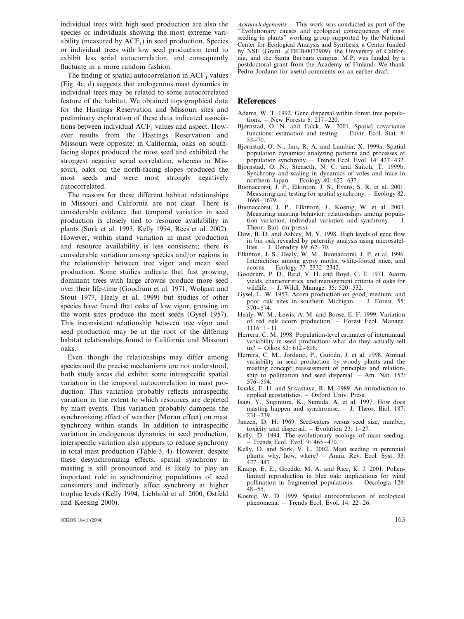individual trees with high seed production are also the species or individuals showing the most extreme variability (measured by  $ACF<sub>1</sub>$ ) in seed production. Species or individual trees with low seed production tend to exhibit less serial autocorrelation, and consequently fluctuate in a more random fashion.

The finding of spatial autocorrelation in  $ACF<sub>1</sub>$  values (Fig. 4c, d) suggests that endogenous mast dynamics in individual trees may be related to some autocorrelated feature of the habitat. We obtained topographical data for the Hastings Reservation and Missouri sites and preliminary exploration of these data indicated associations between individual  $ACF<sub>1</sub>$  values and aspect. However results from the Hastings Reservation and Missouri were opposite: in California, oaks on southfacing slopes produced the most seed and exhibited the strongest negative serial correlation, whereas in Missouri, oaks on the north-facing slopes produced the most seeds and were most strongly negatively autocorrelated.

The reasons for these different habitat relationships in Missouri and California are not clear. There is considerable evidence that temporal variation in seed production is closely tied to resource availability in plants (Sork et al. 1993, Kelly 1994, Rees et al. 2002). However, within stand variation in mast production and resource availability is less consistent; there is considerable variation among species and/or regions in the relationship between tree vigor and mean seed production. Some studies indicate that fast growing, dominant trees with large crowns produce more seed over their life-time (Goodrum et al. 1971, Wolgast and Stout 1977, Healy et al. 1999) but studies of other species have found that oaks of low vigor, growing on the worst sites produce the most seeds (Gysel 1957). This inconsistent relationship between tree vigor and seed production may be at the root of the differing habitat relationships found in California and Missouri oaks.

Even though the relationships may differ among species and the precise mechanisms are not understood, both study areas did exhibit some intraspecific spatial variation in the temporal autocorrelation in mast production. This variation probably reflects intraspecific variation in the extent to which resources are depleted by mast events. This variation probably dampens the synchronizing effect of weather (Moran effect) on mast synchrony within stands. In addition to intraspecific variation in endogenous dynamics in seed production, interspecific variation also appears to reduce synchrony in total mast production (Table 3, 4). However, despite these desynchronizing effects, spatial synchrony in masting is still pronounced and is likely to play an important role in synchronizing populations of seed consumers and indirectly affect synchrony at higher trophic levels (Kelly 1994, Liebhold et al. 2000, Ostfeld and Keesing 2000).

OIKOS 104:1 (2004)  $163$ 

*Acknowledgements* – This work was conducted as part of the ''Evolutionary causes and ecological consequences of mast seeding in plants'' working group supported by the National Center for Ecological Analysis and Synthesis, a Center funded by NSF (Grant  $#$  DEB-0072909), the University of California, and the Santa Barbara campus. M.P. was funded by a postdoctoral grant from the Academy of Finland. We thank Pedro Jordano for useful comments on an earlier draft.

#### **References**

- Adams, W. T. 1992. Gene dispersal within forest tree populations. – New Forests 6: 217–220.
- Bjørnstad, O. N. and Falck, W. 2001. Spatial covariance functions: estimation and testing. – Envir. Ecol. Stat. 8: 53–70.
- Bjørnstad, O. N., Ims, R. A. and Lambin, X. 1999a. Spatial population dynamics: analyzing patterns and processes of population synchrony. – Trends Ecol. Evol. 14: 427–432.
- Bjørnstad, O. N., Stenseth, N. C. and Saitoh, T. 1999b. Synchrony and scaling in dynamics of voles and mice in northern Japan. – Ecology 80: 622–637.
- Buonaccorsi, J. P., Elkinton, J. S., Evans, S. R. et al. 2001. Measuring and testing for spatial synchrony. – Ecology 82: 1668–1679.
- Buonaccorsi, J. P., Elkinton, J., Koenig, W. et al. 2003. Measuring masting behavior: relationships among population variation, individual variation and synchrony. – J. Theor. Biol. (in press).
- Dow, B. D. and Ashley, M. V. 1998. High levels of gene flow in bur oak revealed by paternity analysis using microsatellites. – J. Heredity  $89: 62-70$ .
- Elkinton, J. S., Healy, W. M., Buonaccorsi, J. P. et al. 1996. Interactions among gypsy moths, white-footed mice, and acorns. – Ecology 77: 2332–2342.
- Goodrum, P. D., Reid, V. H. and Boyd, C. E. 1971. Acorn yields, characteristics, and management criteria of oaks for wildlife. – J. Wildl. Manage. 35: 520–532.
- Gysel, L. W. 1957. Acorn production on good, medium, and poor oak sites in southern Michigan. – J. Forest. 55: 570–574.
- Healy, W. M., Lewis, A. M. and Boose, E. F. 1999. Variation of red oak acorn production. – Forest Ecol. Manage. 1116: 1–11.
- Herrera, C. M. 1998. Population-level estimates of interannual variability in seed production: what do they actually tell us? – Oikos 82:  $612-616$ .
- Herrera, C. M., Jordano, P., Guitián, J. et al. 1998. Annual variability in seed production by woody plants and the masting concept: reassessment of principles and relationship to pollination and seed dispersal. - Am. Nat. 152:  $576 - 594.$
- Isaaks, E. H. and Srivastava, R. M. 1989. An introduction to applied geostatistics. – Oxford Univ. Press.
- Isagi, Y., Sugimura, K., Sumida, A. et al. 1997. How does masting happen and synchronise. – J. Theor. Biol. 187:  $231 - 239$
- Janzen, D. H. 1969. Seed-eaters versus seed size, number, toxicity and dispersal. – Evolution 23: 1–27.
- Kelly, D. 1994. The evolutionary ecology of mast seeding. – Trends Ecol. Evol. 9: 465–470.
- Kelly, D. and Sork, V. L. 2002. Mast seeding in perennial plants: why, how, where? – Annu. Rev. Ecol. Syst. 33: 427–447.
- Knapp, E. E., Goedde, M. A. and Rice, K. J. 2001. Pollenlimited reproduction in blue oak: implications for wind pollination in fragmented populations. – Oecologia 128: 48–55.
- Koenig, W. D. 1999. Spatial autocorrelation of ecological phenomena. – Trends Ecol. Evol. 14: 22–26.